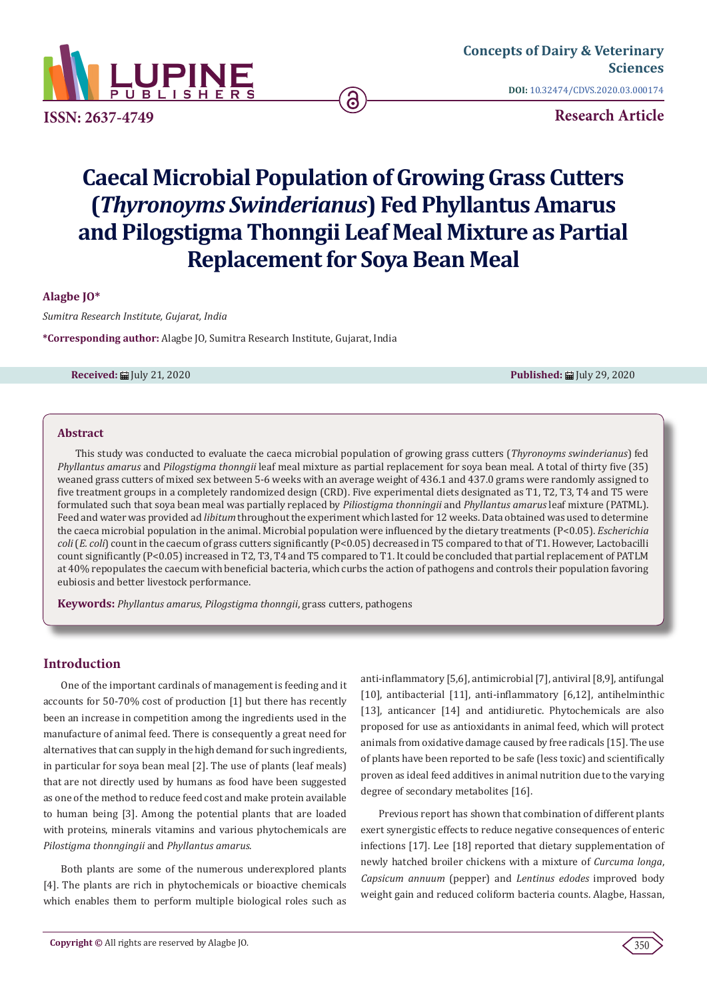

**ISSN: 2637-4749**

**Research Article**

# **Caecal Microbial Population of Growing Grass Cutters (***Thyronoyms Swinderianus***) Fed Phyllantus Amarus and Pilogstigma Thonngii Leaf Meal Mixture as Partial Replacement for Soya Bean Meal**

ခ

**Alagbe JO\***

*Sumitra Research Institute, Gujarat, India* 

**\*Corresponding author:** Alagbe JO, Sumitra Research Institute, Gujarat, India

**Received:** July 21, 2020 **Published:** July 29, 2020

## **Abstract**

This study was conducted to evaluate the caeca microbial population of growing grass cutters (*Thyronoyms swinderianus*) fed *Phyllantus amarus* and *Pilogstigma thonngii* leaf meal mixture as partial replacement for soya bean meal. A total of thirty five (35) weaned grass cutters of mixed sex between 5-6 weeks with an average weight of 436.1 and 437.0 grams were randomly assigned to five treatment groups in a completely randomized design (CRD). Five experimental diets designated as T1, T2, T3, T4 and T5 were formulated such that soya bean meal was partially replaced by *Piliostigma thonningii* and *Phyllantus amarus* leaf mixture (PATML). Feed and water was provided ad *libitum* throughout the experiment which lasted for 12 weeks. Data obtained was used to determine the caeca microbial population in the animal. Microbial population were influenced by the dietary treatments (P<0.05). *Escherichia coli* (*E. coli*) count in the caecum of grass cutters significantly (P<0.05) decreased in T5 compared to that of T1. However, Lactobacilli count significantly (P<0.05) increased in T2, T3, T4 and T5 compared to T1. It could be concluded that partial replacement of PATLM at 40% repopulates the caecum with beneficial bacteria, which curbs the action of pathogens and controls their population favoring eubiosis and better livestock performance.

**Keywords:** *Phyllantus amarus*, *Pilogstigma thonngii*, grass cutters, pathogens

# **Introduction**

One of the important cardinals of management is feeding and it accounts for 50-70% cost of production [1] but there has recently been an increase in competition among the ingredients used in the manufacture of animal feed. There is consequently a great need for alternatives that can supply in the high demand for such ingredients, in particular for soya bean meal [2]. The use of plants (leaf meals) that are not directly used by humans as food have been suggested as one of the method to reduce feed cost and make protein available to human being [3]. Among the potential plants that are loaded with proteins, minerals vitamins and various phytochemicals are *Pilostigma thonngingii* and *Phyllantus amarus*.

Both plants are some of the numerous underexplored plants [4]. The plants are rich in phytochemicals or bioactive chemicals which enables them to perform multiple biological roles such as anti-inflammatory [5,6], antimicrobial [7], antiviral [8,9], antifungal [10], antibacterial [11], anti-inflammatory [6,12], antihelminthic [13], anticancer [14] and antidiuretic. Phytochemicals are also proposed for use as antioxidants in animal feed, which will protect animals from oxidative damage caused by free radicals [15]. The use of plants have been reported to be safe (less toxic) and scientifically proven as ideal feed additives in animal nutrition due to the varying degree of secondary metabolites [16].

Previous report has shown that combination of different plants exert synergistic effects to reduce negative consequences of enteric infections [17]. Lee [18] reported that dietary supplementation of newly hatched broiler chickens with a mixture of *Curcuma longa*, *Capsicum annuum* (pepper) and *Lentinus edodes* improved body weight gain and reduced coliform bacteria counts. Alagbe, Hassan,

350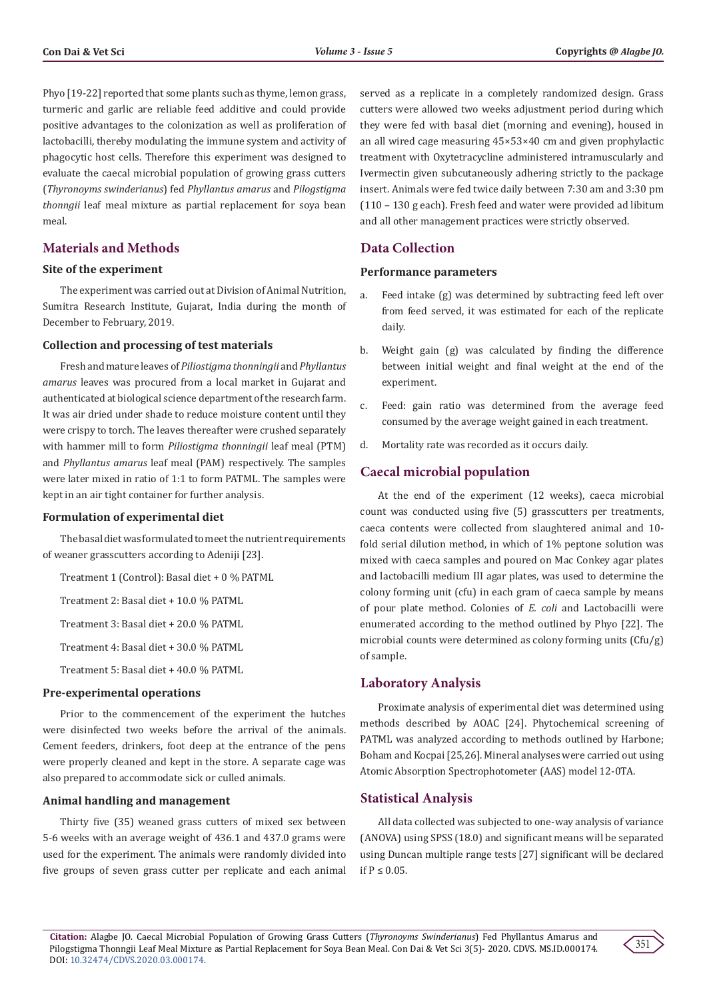Phyo [19-22] reported that some plants such as thyme, lemon grass, turmeric and garlic are reliable feed additive and could provide positive advantages to the colonization as well as proliferation of lactobacilli, thereby modulating the immune system and activity of phagocytic host cells. Therefore this experiment was designed to evaluate the caecal microbial population of growing grass cutters (*Thyronoyms swinderianus*) fed *Phyllantus amarus* and *Pilogstigma thonngii* leaf meal mixture as partial replacement for soya bean meal.

## **Materials and Methods**

## **Site of the experiment**

The experiment was carried out at Division of Animal Nutrition, Sumitra Research Institute, Gujarat, India during the month of December to February, 2019.

#### **Collection and processing of test materials**

Fresh and mature leaves of *Piliostigma thonningii* and *Phyllantus amarus* leaves was procured from a local market in Gujarat and authenticated at biological science department of the research farm. It was air dried under shade to reduce moisture content until they were crispy to torch. The leaves thereafter were crushed separately with hammer mill to form *Piliostigma thonningii* leaf meal (PTM) and *Phyllantus amarus* leaf meal (PAM) respectively. The samples were later mixed in ratio of 1:1 to form PATML. The samples were kept in an air tight container for further analysis.

#### **Formulation of experimental diet**

The basal diet was formulated to meet the nutrient requirements of weaner grasscutters according to Adeniji [23].

Treatment 1 (Control): Basal diet + 0 % PATML

Treatment 2: Basal diet + 10.0 % PATML

Treatment 3: Basal diet + 20.0 % PATML

Treatment 4: Basal diet + 30.0 % PATML

Treatment 5: Basal diet + 40.0 % PATML

### **Pre-experimental operations**

Prior to the commencement of the experiment the hutches were disinfected two weeks before the arrival of the animals. Cement feeders, drinkers, foot deep at the entrance of the pens were properly cleaned and kept in the store. A separate cage was also prepared to accommodate sick or culled animals.

## **Animal handling and management**

Thirty five (35) weaned grass cutters of mixed sex between 5-6 weeks with an average weight of 436.1 and 437.0 grams were used for the experiment. The animals were randomly divided into five groups of seven grass cutter per replicate and each animal

served as a replicate in a completely randomized design. Grass cutters were allowed two weeks adjustment period during which they were fed with basal diet (morning and evening), housed in an all wired cage measuring 45×53×40 cm and given prophylactic treatment with Oxytetracycline administered intramuscularly and Ivermectin given subcutaneously adhering strictly to the package insert. Animals were fed twice daily between 7:30 am and 3:30 pm (110 – 130 g each). Fresh feed and water were provided ad libitum and all other management practices were strictly observed.

## **Data Collection**

#### **Performance parameters**

- a. Feed intake (g) was determined by subtracting feed left over from feed served, it was estimated for each of the replicate daily.
- b. Weight gain (g) was calculated by finding the difference between initial weight and final weight at the end of the experiment.
- c. Feed: gain ratio was determined from the average feed consumed by the average weight gained in each treatment.
- d. Mortality rate was recorded as it occurs daily.

## **Caecal microbial population**

At the end of the experiment (12 weeks), caeca microbial count was conducted using five (5) grasscutters per treatments, caeca contents were collected from slaughtered animal and 10 fold serial dilution method, in which of 1% peptone solution was mixed with caeca samples and poured on Mac Conkey agar plates and lactobacilli medium III agar plates, was used to determine the colony forming unit (cfu) in each gram of caeca sample by means of pour plate method. Colonies of *E. coli* and Lactobacilli were enumerated according to the method outlined by Phyo [22]. The microbial counts were determined as colony forming units (Cfu/g) of sample.

## **Laboratory Analysis**

Proximate analysis of experimental diet was determined using methods described by AOAC [24]. Phytochemical screening of PATML was analyzed according to methods outlined by Harbone; Boham and Kocpai [25,26]. Mineral analyses were carried out using Atomic Absorption Spectrophotometer (AAS) model 12-0TA.

### **Statistical Analysis**

All data collected was subjected to one-way analysis of variance (ANOVA) using SPSS (18.0) and significant means will be separated using Duncan multiple range tests [27] significant will be declared if  $P < 0.05$ .

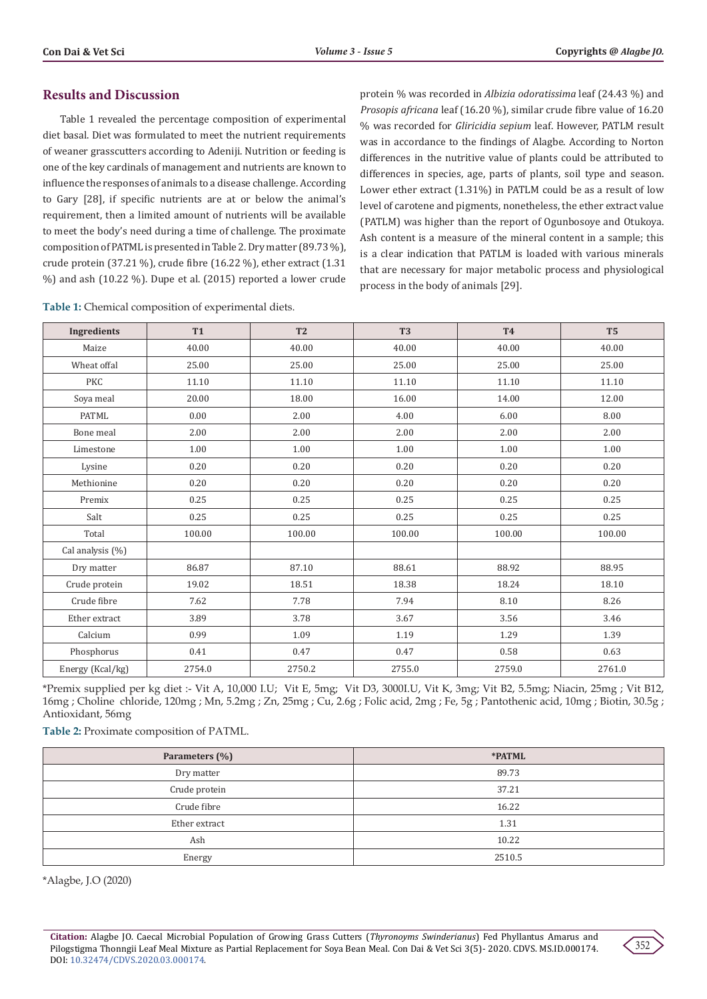# **Results and Discussion**

Table 1 revealed the percentage composition of experimental diet basal. Diet was formulated to meet the nutrient requirements of weaner grasscutters according to Adeniji. Nutrition or feeding is one of the key cardinals of management and nutrients are known to influence the responses of animals to a disease challenge. According to Gary [28], if specific nutrients are at or below the animal's requirement, then a limited amount of nutrients will be available to meet the body's need during a time of challenge. The proximate composition of PATML is presented in Table 2. Dry matter (89.73 %), crude protein (37.21 %), crude fibre (16.22 %), ether extract (1.31 %) and ash (10.22 %). Dupe et al. (2015) reported a lower crude

protein % was recorded in *Albizia odoratissima* leaf (24.43 %) and *Prosopis africana* leaf (16.20 %), similar crude fibre value of 16.20 % was recorded for *Gliricidia sepium* leaf. However, PATLM result was in accordance to the findings of Alagbe. According to Norton differences in the nutritive value of plants could be attributed to differences in species, age, parts of plants, soil type and season. Lower ether extract (1.31%) in PATLM could be as a result of low level of carotene and pigments, nonetheless, the ether extract value (PATLM) was higher than the report of Ogunbosoye and Otukoya. Ash content is a measure of the mineral content in a sample; this is a clear indication that PATLM is loaded with various minerals that are necessary for major metabolic process and physiological process in the body of animals [29].

| Table 1: Chemical composition of experimental diets. |  |  |  |
|------------------------------------------------------|--|--|--|
|------------------------------------------------------|--|--|--|

| Ingredients      | <b>T1</b> | T <sub>2</sub> | T <sub>3</sub> | <b>T4</b> | T <sub>5</sub> |
|------------------|-----------|----------------|----------------|-----------|----------------|
| Maize            | 40.00     | 40.00          | 40.00          | 40.00     | 40.00          |
| Wheat offal      | 25.00     | 25.00          | 25.00          | 25.00     | 25.00          |
| <b>PKC</b>       | 11.10     | 11.10          | 11.10          | 11.10     | 11.10          |
| Soya meal        | 20.00     | 18.00          | 16.00          | 14.00     | 12.00          |
| PATML            | 0.00      | 2.00           | 4.00           | 6.00      | 8.00           |
| Bone meal        | 2.00      | 2.00           | 2.00           | 2.00      | 2.00           |
| Limestone        | 1.00      | 1.00           | 1.00           | 1.00      | 1.00           |
| Lysine           | 0.20      | 0.20           | 0.20           | 0.20      | 0.20           |
| Methionine       | 0.20      | 0.20           | 0.20           | 0.20      | 0.20           |
| Premix           | 0.25      | 0.25           | 0.25           | 0.25      | 0.25           |
| Salt             | 0.25      | 0.25           | 0.25           | 0.25      | 0.25           |
| Total            | 100.00    | 100.00         | 100.00         | 100.00    | 100.00         |
| Cal analysis (%) |           |                |                |           |                |
| Dry matter       | 86.87     | 87.10          | 88.61          | 88.92     | 88.95          |
| Crude protein    | 19.02     | 18.51          | 18.38          | 18.24     | 18.10          |
| Crude fibre      | 7.62      | 7.78           | 7.94           | 8.10      | 8.26           |
| Ether extract    | 3.89      | 3.78           | 3.67           | 3.56      | 3.46           |
| Calcium          | 0.99      | 1.09           | 1.19           | 1.29      | 1.39           |
| Phosphorus       | 0.41      | 0.47           | 0.47           | 0.58      | 0.63           |
| Energy (Kcal/kg) | 2754.0    | 2750.2         | 2755.0         | 2759.0    | 2761.0         |

\*Premix supplied per kg diet :- Vit A, 10,000 I.U; Vit E, 5mg; Vit D3, 3000I.U, Vit K, 3mg; Vit B2, 5.5mg; Niacin, 25mg ; Vit B12, 16mg ; Choline chloride, 120mg ; Mn, 5.2mg ; Zn, 25mg ; Cu, 2.6g ; Folic acid, 2mg ; Fe, 5g ; Pantothenic acid, 10mg ; Biotin, 30.5g ; Antioxidant, 56mg

**Table 2:** Proximate composition of PATML.

| Parameters (%) | *PATML |  |  |
|----------------|--------|--|--|
| Dry matter     | 89.73  |  |  |
| Crude protein  | 37.21  |  |  |
| Crude fibre    | 16.22  |  |  |
| Ether extract  | 1.31   |  |  |
| Ash            | 10.22  |  |  |
| Energy         | 2510.5 |  |  |

\*Alagbe, J.O (2020)

**Citation:** Alagbe JO. Caecal Microbial Population of Growing Grass Cutters (*Thyronoyms Swinderianus*) Fed Phyllantus Amarus and Pilogstigma Thonngii Leaf Meal Mixture as Partial Replacement for Soya Bean Meal. Con Dai & Vet Sci 3(5)- 2020. CDVS. MS.ID.000174. DOI: [10.32474/CDVS.2020.03.000174](http://dx.doi.org/10.32474/CDVS.2020.03.000174).

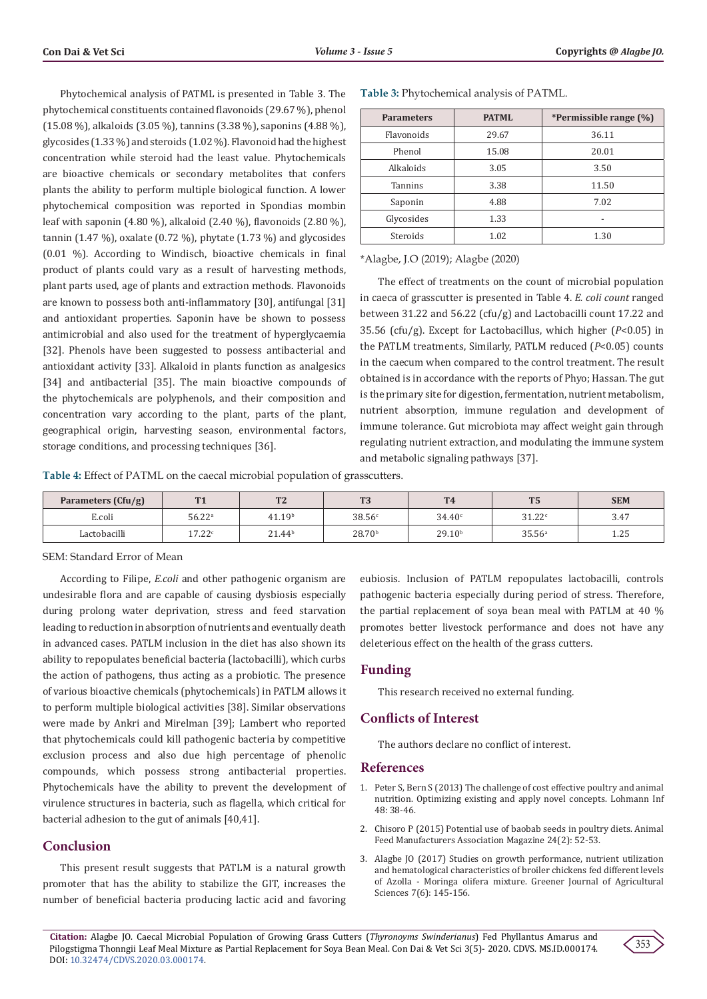Phytochemical analysis of PATML is presented in Table 3. The phytochemical constituents contained flavonoids (29.67 %), phenol (15.08 %), alkaloids (3.05 %), tannins (3.38 %), saponins (4.88 %), glycosides (1.33 %) and steroids (1.02 %). Flavonoid had the highest concentration while steroid had the least value. Phytochemicals are bioactive chemicals or secondary metabolites that confers plants the ability to perform multiple biological function. A lower phytochemical composition was reported in Spondias mombin leaf with saponin (4.80 %), alkaloid (2.40 %), flavonoids (2.80 %), tannin (1.47 %), oxalate (0.72 %), phytate (1.73 %) and glycosides (0.01 %). According to Windisch, bioactive chemicals in final product of plants could vary as a result of harvesting methods, plant parts used, age of plants and extraction methods. Flavonoids are known to possess both anti-inflammatory [30], antifungal [31] and antioxidant properties. Saponin have be shown to possess antimicrobial and also used for the treatment of hyperglycaemia [32]. Phenols have been suggested to possess antibacterial and antioxidant activity [33]. Alkaloid in plants function as analgesics [34] and antibacterial [35]. The main bioactive compounds of the phytochemicals are polyphenols, and their composition and concentration vary according to the plant, parts of the plant, geographical origin, harvesting season, environmental factors, storage conditions, and processing techniques [36].

**Table 3:** Phytochemical analysis of PATML.

| <b>Parameters</b> | <b>PATML</b> | *Permissible range (%) |  |  |
|-------------------|--------------|------------------------|--|--|
| <b>Flavonoids</b> | 29.67        | 36.11                  |  |  |
| Phenol            | 15.08        | 20.01                  |  |  |
| Alkaloids         | 3.05         | 3.50                   |  |  |
| <b>Tannins</b>    | 3.38         | 11.50                  |  |  |
| Saponin           | 4.88         | 7.02                   |  |  |
| Glycosides        | 1.33         | -                      |  |  |
| Steroids          | 1.02         | 1.30                   |  |  |

\*Alagbe, J.O (2019); Alagbe (2020)

The effect of treatments on the count of microbial population in caeca of grasscutter is presented in Table 4. *E. coli count* ranged between 31.22 and 56.22 (cfu/g) and Lactobacilli count 17.22 and 35.56 (cfu/g). Except for Lactobacillus, which higher (*P*<0.05) in the PATLM treatments, Similarly, PATLM reduced (*P*<0.05) counts in the caecum when compared to the control treatment. The result obtained is in accordance with the reports of Phyo; Hassan. The gut is the primary site for digestion, fermentation, nutrient metabolism, nutrient absorption, immune regulation and development of immune tolerance. Gut microbiota may affect weight gain through regulating nutrient extraction, and modulating the immune system and metabolic signaling pathways [37].

**Table 4:** Effect of PATML on the caecal microbial population of grasscutters.

| Parameters $(Cfu/g)$ | TTA                | T <sub>0</sub><br>$\sqrt{2}$ | TTQ<br>1 J         | T <sub>4</sub>     | <b>COLOR</b><br>$\cdot$ | <b>SEM</b>              |
|----------------------|--------------------|------------------------------|--------------------|--------------------|-------------------------|-------------------------|
| E.coli               | 56.22 <sup>a</sup> | 41.19 <sup>b</sup>           | 38.56c             | 34.40c             | 31.22c                  | 247<br>3.4 <sub>1</sub> |
| Lactobacilli         | 17.22c             | 21.44 <sup>b</sup>           | 28.70 <sup>b</sup> | 29.10 <sup>b</sup> | 35.56 <sup>a</sup>      | 1.25                    |

### SEM: Standard Error of Mean

According to Filipe, *E.coli* and other pathogenic organism are undesirable flora and are capable of causing dysbiosis especially during prolong water deprivation, stress and feed starvation leading to reduction in absorption of nutrients and eventually death in advanced cases. PATLM inclusion in the diet has also shown its ability to repopulates beneficial bacteria (lactobacilli), which curbs the action of pathogens, thus acting as a probiotic. The presence of various bioactive chemicals (phytochemicals) in PATLM allows it to perform multiple biological activities [38]. Similar observations were made by Ankri and Mirelman [39]; Lambert who reported that phytochemicals could kill pathogenic bacteria by competitive exclusion process and also due high percentage of phenolic compounds, which possess strong antibacterial properties. Phytochemicals have the ability to prevent the development of virulence structures in bacteria, such as flagella, which critical for bacterial adhesion to the gut of animals [40,41].

## **Conclusion**

This present result suggests that PATLM is a natural growth promoter that has the ability to stabilize the GIT, increases the number of beneficial bacteria producing lactic acid and favoring eubiosis. Inclusion of PATLM repopulates lactobacilli, controls pathogenic bacteria especially during period of stress. Therefore, the partial replacement of soya bean meal with PATLM at 40 % promotes better livestock performance and does not have any deleterious effect on the health of the grass cutters.

### **Funding**

This research received no external funding.

# **Conflicts of Interest**

The authors declare no conflict of interest.

### **References**

- 1. [Peter S, Bern S \(2013\) The challenge of cost effective poultry and animal](http://www.lohmann-information.com/content/l_i_48_artikel5.pdf) [nutrition. Optimizing existing and apply novel concepts. Lohmann Inf](http://www.lohmann-information.com/content/l_i_48_artikel5.pdf) [48: 38-46.](http://www.lohmann-information.com/content/l_i_48_artikel5.pdf)
- 2. Chisoro P (2015) Potential use of baobab seeds in poultry diets. Animal Feed Manufacturers Association Magazine 24(2): 52-53.
- 3. Alagbe JO (2017) Studies on growth performance, nutrient utilization and hematological characteristics of broiler chickens fed different levels of Azolla - Moringa olifera mixture. Greener Journal of Agricultural Sciences 7(6): 145-156.

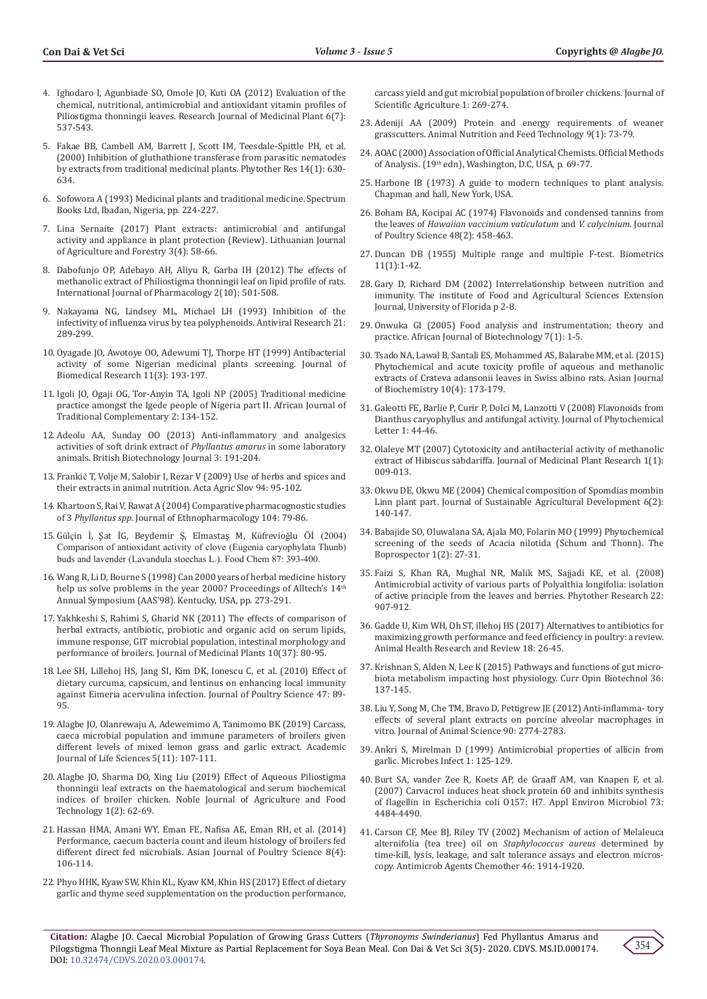- 4. Ighodaro I, Agunbiade SO, Omole JO, Kuti OA (2012) Evaluation of the chemical, nutritional, antimicrobial and antioxidant vitamin profiles of Piliostigma thonningii leaves. Research Journal of Medicinal Plant 6(7): 537-543.
- 5. [Fakae BB, Cambell AM, Barrett J, Scott IM, Teesdale-Spittle PH, et al.](https://pubmed.ncbi.nlm.nih.gov/11114001/)  [\(2000\) Inhibition of gluthathione transferase from parasitic nematodes](https://pubmed.ncbi.nlm.nih.gov/11114001/)  [by extracts from traditional medicinal plants. Phytother Res 14\(1\): 630-](https://pubmed.ncbi.nlm.nih.gov/11114001/) [634.](https://pubmed.ncbi.nlm.nih.gov/11114001/)
- 6. Sofowora A (1993) Medicinal plants and traditional medicine. Spectrum Books Ltd, Ibadan, Nigeria, pp. 224-227.
- 7. [Lina Sernaite \(2017\) Plant extracts: antimicrobial and antifungal](https://www.cabdirect.org/cabdirect/abstract/20193282968)  [activity and appliance in plant protection \(Review\). Lithuanian Journal](https://www.cabdirect.org/cabdirect/abstract/20193282968)  [of Agriculture and Forestry 3\(4\): 58-66.](https://www.cabdirect.org/cabdirect/abstract/20193282968)
- 8. [Dabofunjo OP, Adebayo AH, Aliyu R, Garba IH \(2012\) The effects of](https://pubmed.ncbi.nlm.nih.gov/22991674/)  [methanolic extract of Philiostigma thonningii leaf on lipid profile of rats.](https://pubmed.ncbi.nlm.nih.gov/22991674/)  [International Journal of Pharmacology 2\(10\): 501-508.](https://pubmed.ncbi.nlm.nih.gov/22991674/)
- 9. [Nakayama NG, Lindsey ML, Michael LH \(1993\) Inhibition of the](https://pubmed.ncbi.nlm.nih.gov/8215301/)  [infectivity of influenza virus by tea polyphenoids. Antiviral Research 21:](https://pubmed.ncbi.nlm.nih.gov/8215301/)  [289-299.](https://pubmed.ncbi.nlm.nih.gov/8215301/)
- 10. Oyagade JO, Awotoye OO, Adewumi TJ, Thorpe HT (1999) Antibacterial activity of some Nigerian medicinal plants screening. Journal of Biomedical Research 11(3): 193-197.
- 11. [Igoli JO, Ogaji OG, Tor-Anyin TA, Igoli NP \(2005\) Traditional medicine](https://journals.athmsi.org/index.php/ajtcam/article/view/47)  [practice amongst the Igede people of Nigeria part II. African Journal of](https://journals.athmsi.org/index.php/ajtcam/article/view/47)  [Traditional Complementary 2: 134-152.](https://journals.athmsi.org/index.php/ajtcam/article/view/47)
- 12. [Adeolu AA, Sunday OO \(2013\) Anti-inflammatory and analgesics](https://www.journalbji.com/index.php/BJI/article/view/1314)  [activities of soft drink extract of](https://www.journalbji.com/index.php/BJI/article/view/1314) *Phyllantus amarus* in some laboratory [animals. British Biotechnology Journal 3: 191-204.](https://www.journalbji.com/index.php/BJI/article/view/1314)
- 13. Frankič [T, Volje M, Salobir I, Rezar V \(2009\) Use of herbs and spices and](https://www.cabdirect.org/cabdirect/abstract/20103004378)  [their extracts in animal nutrition. Acta Agric Slov 94: 95-102.](https://www.cabdirect.org/cabdirect/abstract/20103004378)
- 14. Khartoon S, Rai V, Rawat A (2004) Comparative pharmacognostic studies of 3 *Phyllantus spp*. Journal of Ethnopharmacology 104: 79-86.
- 15. Gülçin Ì, Şat İG, Beydemir Ş[, Elmastaş M, K](https://www.sciencedirect.com/science/article/abs/pii/S0308814603006393)üfrevioǧlu Öİ (2004) [Comparison of antioxidant activity of clove \(Eugenia caryophylata Thunb\)](https://www.sciencedirect.com/science/article/abs/pii/S0308814603006393)  [buds and lavender \(Lavandula stoechas L.\). Food Chem 87: 393-400.](https://www.sciencedirect.com/science/article/abs/pii/S0308814603006393)
- 16. Wang R, Li D, Bourne S (1998) Can 2000 years of herbal medicine history help us solve problems in the year 2000? Proceedings of Alltech's 14th Annual Symposium (AAS'98). Kentucky, USA, pp. 273-291.
- 17. Yakhkeshi S, Rahimi S, Gharid NK (2011) The effects of comparison of herbal extracts, antibiotic, probiotic and organic acid on serum lipids, immune response, GIT microbial population, intestinal morphology and performance of broilers. Journal of Medicinal Plants 10(37): 80-95.
- 18. Lee SH, Lillehoj HS, Jang SI, Kim DK, Ionescu C, et al. (2010) Effect of dietary curcuma, capsicum, and lentinus on enhancing local immunity against Eimeria acervulina infection. Journal of Poultry Science 47: 89- 95.
- 19. Alagbe JO, Olanrewaju A, Adewemimo A, Tanimomo BK (2019) Carcass, caeca microbial population and immune parameters of broilers given different levels of mixed lemon grass and garlic extract. Academic Journal of Life Sciences 5(11): 107-111.
- 20. Alagbe JO, Sharma DO, Xing Liu (2019) Effect of Aqueous Piliostigma thonningii leaf extracts on the haematological and serum biochemical indices of broiler chicken. Noble Journal of Agriculture and Food Technology 1(2): 62-69.
- 21. Hassan HMA, Amani WY, Eman FE, Nafisa AE, Eman RH, et al. (2014) Performance, caecum bacteria count and ileum histology of broilers fed different direct fed microbials. Asian Journal of Poultry Science 8(4): 106-114.
- 22. Phyo HHK, Kyaw SW, Khin KL, Kyaw KM, Khin HS (2017) Effect of dietary garlic and thyme seed supplementation on the production performance,

carcass yield and gut microbial population of broiler chickens. Journal of Scientific Agriculture 1: 269-274.

- 23. [Adeniji AA \(2009\) Protein and energy requirements of weaner](https://www.indianjournals.com/ijor.aspx?target=ijor:anft&volume=9&issue=1&article=010) [grasscutters. Animal Nutrition and Feed Technology 9\(1\): 73-79.](https://www.indianjournals.com/ijor.aspx?target=ijor:anft&volume=9&issue=1&article=010)
- 24. AOAC (2000) Association of Official Analytical Chemists. Official Methods of Analysis. (19th edn), Washington, D.C, USA, p. 69-77.
- 25. Harbone IB (1973) A guide to modern techniques to plant analysis. Chapman and hall, New York, USA.
- 26. Boham BA, Kocipai AC (1974) Flavonoids and condensed tannins from the leaves of *Hawaiian vaccinium vaticulatum* and *V. calycinium*. Journal of Poultry Science 48(2): 458-463.
- 27. Duncan DB (1955) Multiple range and multiple F-test. Biometrics 11(1):1-42.
- 28. Gary D, Richard DM (2002) Interrelationship between nutrition and immunity. The institute of Food and Agricultural Sciences Extension Journal, University of Florida p 2-8.
- 29. [Onwuka GI \(2005\) Food analysis and instrumentation; theory and](http://www.sciepub.com/reference/51343) [practice. African Journal of Biotechnology 7\(1\): 1-5.](http://www.sciepub.com/reference/51343)
- 30. Tsado NA, Lawal B, Santali ES, Mohammed AS, Balarabe MM, et al. (2015) Phytochemical and acute toxicity profile of aqueous and methanolic extracts of Crateva adansonii leaves in Swiss albino rats. Asian Journal of Biochemistry 10(4): 173-179.
- 31. [Galeotti FE, Barlie P, Curir P, Dolci M, Lanzotti V \(2008\) Flavonoids from](https://www.sciencedirect.com/science/article/abs/pii/S1874390007000079) [Dianthus caryophyllus and antifungal activity. Journal of Phytochemical](https://www.sciencedirect.com/science/article/abs/pii/S1874390007000079) [Letter 1: 44-46.](https://www.sciencedirect.com/science/article/abs/pii/S1874390007000079)
- 32. Olaleye MT (2007) Cytotoxicity and antibacterial activity of methanolic extract of Hibiscus sabdariffa. Journal of Medicinal Plant Research 1(1): 009-013.
- 33. Okwu DE, Okwu ME (2004) Chemical composition of Spomdias mombin Linn plant part. Journal of Sustainable Agricultural Development 6(2): 140-147.
- 34. Babajide SO, Oluwalana SA, Ajala MO, Folarin MO (1999) Phytochemical screening of the seeds of Acacia nilotida (Schum and Thonn). The Boprospector 1(2): 27-31.
- 35. [Faizi S, Khan RA, Mughal NR, Malik MS, Sajjadi KE, et al. \(2008\)](https://pubmed.ncbi.nlm.nih.gov/18389472/) [Antimicrobial activity of various parts of Polyalthia longifolia: isolation](https://pubmed.ncbi.nlm.nih.gov/18389472/) [of active principle from the leaves and berries. Phytother Research 22:](https://pubmed.ncbi.nlm.nih.gov/18389472/) [907-912.](https://pubmed.ncbi.nlm.nih.gov/18389472/)
- 36. [Gadde U, Kim WH, Oh ST, illehoj HS \(2017\) Alternatives to antibiotics for](https://www.cambridge.org/core/journals/animal-health-research-reviews/article/alternatives-to-antibiotics-for-maximizing-growth-performance-and-feed-efficiency-in-poultry-a-review/834725E86141F209DDDE7BBA11A98635) [maximizing growth performance and feed efficiency in poultry: a review.](https://www.cambridge.org/core/journals/animal-health-research-reviews/article/alternatives-to-antibiotics-for-maximizing-growth-performance-and-feed-efficiency-in-poultry-a-review/834725E86141F209DDDE7BBA11A98635) [Animal Health Research and Review 18: 26-45.](https://www.cambridge.org/core/journals/animal-health-research-reviews/article/alternatives-to-antibiotics-for-maximizing-growth-performance-and-feed-efficiency-in-poultry-a-review/834725E86141F209DDDE7BBA11A98635)
- 37. [Krishnan S, Alden N, Lee K \(2015\) Pathways and functions of gut micro](https://pubmed.ncbi.nlm.nih.gov/26340103/)[biota metabolism impacting host physiology. Curr Opin Biotechnol 36:](https://pubmed.ncbi.nlm.nih.gov/26340103/) [137-145.](https://pubmed.ncbi.nlm.nih.gov/26340103/)
- 38. Liu Y, Song M, Che TM, Bravo D, Pettigrew JE (2012) Anti-inflamma-tory [effects of several plant extracts on porcine alveolar macrophages in](https://pubmed.ncbi.nlm.nih.gov/22328722/) [vitro. Journal of Animal Science 90: 2774-2783.](https://pubmed.ncbi.nlm.nih.gov/22328722/)
- 39. [Ankri S, Mirelman D \(1999\) Antimicrobial properties of allicin from](https://www.sciencedirect.com/science/article/abs/pii/S1286457999800033) [garlic. Microbes Infect 1: 125-129.](https://www.sciencedirect.com/science/article/abs/pii/S1286457999800033)
- 40. [Burt SA, vander Zee R, Koets AP, de Graaff AM, van Knapen F, et al.](https://europepmc.org/article/pmc/pmc1932834) [\(2007\) Carvacrol induces heat shock protein 60 and inhibits synthesis](https://europepmc.org/article/pmc/pmc1932834) [of flagellin in Escherichia coli O157: H7. Appl Environ Microbiol 73:](https://europepmc.org/article/pmc/pmc1932834) [4484-4490.](https://europepmc.org/article/pmc/pmc1932834)
- 41. [Carson CF, Mee BJ, Riley TV \(2002\) Mechanism of action of Melaleuca](https://pubmed.ncbi.nlm.nih.gov/12019108/) [alternifolia \(tea tree\) oil on](https://pubmed.ncbi.nlm.nih.gov/12019108/) *Staphylococcus aureus* determined by [time-kill, lysis, leakage, and salt tolerance assays and electron micros](https://pubmed.ncbi.nlm.nih.gov/12019108/)[copy. Antimicrob Agents Chemother 46: 1914-1920.](https://pubmed.ncbi.nlm.nih.gov/12019108/)